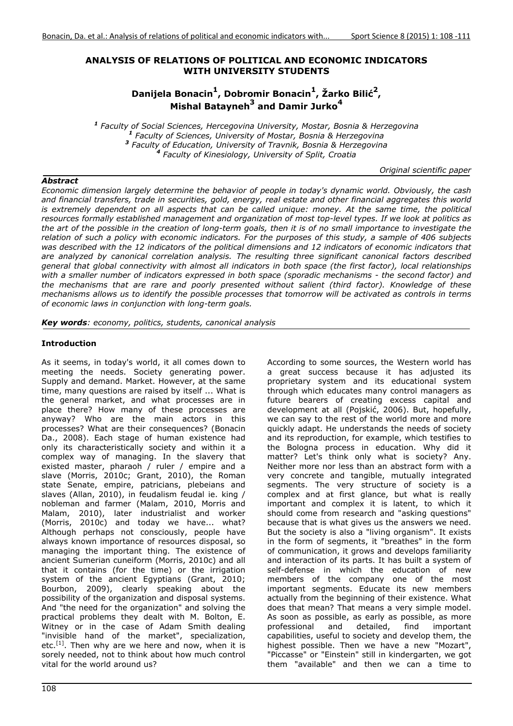## **ANALYSIS OF RELATIONS OF POLITICAL AND ECONOMIC INDICATORS WITH UNIVERSITY STUDENTS**

# **Danijela Bonacin1, Dobromir Bonacin1, Žarko Bilić2, Mishal Batayneh<sup>3</sup> and Damir Jurko<sup>4</sup>**

 *Faculty of Social Sciences, Hercegovina University, Mostar, Bosnia & Herzegovina Faculty of Sciences, University of Mostar, Bosnia & Herzegovina Faculty of Education, University of Travnik, Bosnia & Herzegovina Faculty of Kinesiology, University of Split, Croatia* 

*Original scientific paper* 

#### *Abstract*

*Economic dimension largely determine the behavior of people in today's dynamic world. Obviously, the cash and financial transfers, trade in securities, gold, energy, real estate and other financial aggregates this world is extremely dependent on all aspects that can be called unique: money. At the same time, the political resources formally established management and organization of most top-level types. If we look at politics as the art of the possible in the creation of long-term goals, then it is of no small importance to investigate the relation of such a policy with economic indicators. For the purposes of this study, a sample of 406 subjects was described with the 12 indicators of the political dimensions and 12 indicators of economic indicators that are analyzed by canonical correlation analysis. The resulting three significant canonical factors described general that global connectivity with almost all indicators in both space (the first factor), local relationships with a smaller number of indicators expressed in both space (sporadic mechanisms - the second factor) and the mechanisms that are rare and poorly presented without salient (third factor). Knowledge of these mechanisms allows us to identify the possible processes that tomorrow will be activated as controls in terms of economic laws in conjunction with long-term goals.* 

*Key words: economy, politics, students, canonical analysis* 

## **Introduction**

As it seems, in today's world, it all comes down to meeting the needs. Society generating power. Supply and demand. Market. However, at the same time, many questions are raised by itself ... What is the general market, and what processes are in place there? How many of these processes are anyway? Who are the main actors in this processes? What are their consequences? (Bonacin Da., 2008). Each stage of human existence had only its characteristically society and within it a complex way of managing. In the slavery that existed master, pharaoh / ruler / empire and a slave (Morris, 2010c; Grant, 2010), the Roman state Senate, empire, patricians, plebeians and slaves (Allan, 2010), in feudalism feudal ie. king / nobleman and farmer (Malam, 2010, Morris and Malam, 2010), later industrialist and worker (Morris, 2010c) and today we have... what? Although perhaps not consciously, people have always known importance of resources disposal, so managing the important thing. The existence of ancient Sumerian cuneiform (Morris, 2010c) and all that it contains (for the time) or the irrigation system of the ancient Egyptians (Grant, 2010; Bourbon, 2009), clearly speaking about the possibility of the organization and disposal systems. And "the need for the organization" and solving the practical problems they dealt with M. Bolton, E. Witney or in the case of Adam Smith dealing "invisible hand of the market", specialization, etc.<sup>[1]</sup>. Then why are we here and now, when it is sorely needed, not to think about how much control vital for the world around us?

According to some sources, the Western world has a great success because it has adjusted its proprietary system and its educational system through which educates many control managers as future bearers of creating excess capital and development at all (Pojskić, 2006). But, hopefully, we can say to the rest of the world more and more quickly adapt. He understands the needs of society and its reproduction, for example, which testifies to the Bologna process in education. Why did it matter? Let's think only what is society? Any. Neither more nor less than an abstract form with a very concrete and tangible, mutually integrated segments. The very structure of society is a complex and at first glance, but what is really important and complex it is latent, to which it should come from research and "asking questions" because that is what gives us the answers we need. But the society is also a "living organism". It exists in the form of segments, it "breathes" in the form of communication, it grows and develops familiarity and interaction of its parts. It has built a system of self-defense in which the education of new members of the company one of the most important segments. Educate its new members actually from the beginning of their existence. What does that mean? That means a very simple model. As soon as possible, as early as possible, as more professional and detailed, find important capabilities, useful to society and develop them, the highest possible. Then we have a new "Mozart", "Piccasse" or "Einstein" still in kindergarten, we got them "available" and then we can a time to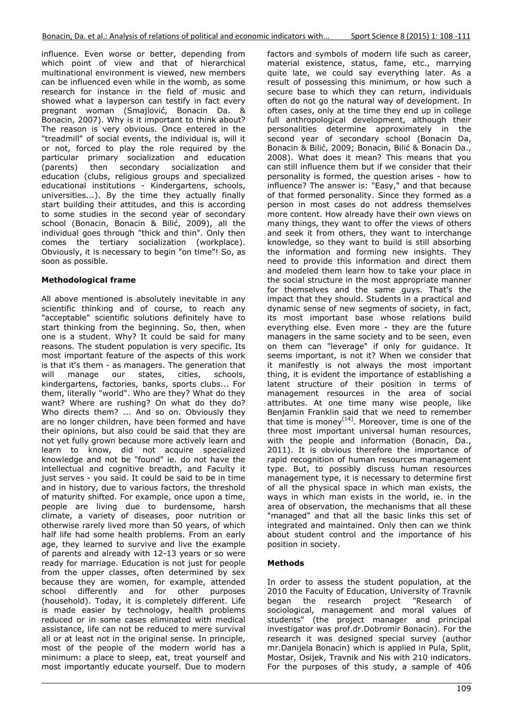influence. Even worse or better, depending from which point of view and that of hierarchical multinational environment is viewed, new members can be influenced even while in the womb, as some research for instance in the field of music and showed what a layperson can testify in fact every pregnant woman (Smajlović, Bonacin Da. & Bonacin, 2007). Why is it important to think about? The reason is very obvious. Once entered in the "treadmill" of social events, the individual is, will it or not, forced to play the role required by the particular primary socialization and education (parents) then secondary socialization and education (clubs, religious groups and specialized educational institutions - Kindergartens, schools, universities...). By the time they actually finally start building their attitudes, and this is according to some studies in the second year of secondary school (Bonacin, Bonacin & Bilić, 2009), all the individual goes through "thick and thin". Only then comes the tertiary socialization (workplace). Obviously, it is necessary to begin "on time"! So, as soon as possible.

## **Methodological frame**

All above mentioned is absolutely inevitable in any scientific thinking and of course, to reach any "acceptable" scientific solutions definitely have to start thinking from the beginning. So, then, when one is a student. Why? It could be said for many reasons. The student population is very specific. Its most important feature of the aspects of this work is that it's them - as managers. The generation that will manage our states, cities, schools, kindergartens, factories, banks, sports clubs... For them, literally "world". Who are they? What do they want? Where are rushing? On what do they do? Who directs them? ... And so on. Obviously they are no longer children, have been formed and have their opinions, but also could be said that they are not yet fully grown because more actively learn and learn to know, did not acquire specialized knowledge and not be "found" ie. do not have the intellectual and cognitive breadth, and Faculty it just serves - you said. It could be said to be in time and in history, due to various factors, the threshold of maturity shifted. For example, once upon a time, people are living due to burdensome, harsh climate, a variety of diseases, poor nutrition or otherwise rarely lived more than 50 years, of which half life had some health problems. From an early age, they learned to survive and live the example of parents and already with 12-13 years or so were ready for marriage. Education is not just for people from the upper classes, often determined by sex because they are women, for example, attended school differently and for other purposes (household). Today, it is completely different. Life is made easier by technology, health problems reduced or in some cases eliminated with medical assistance, life can not be reduced to mere survival all or at least not in the original sense. In principle, most of the people of the modern world has a minimum: a place to sleep, eat, treat yourself and most importantly educate yourself. Due to modern factors and symbols of modern life such as career, material existence, status, fame, etc., marrying quite late, we could say everything later. As a result of possessing this minimum, or how such a secure base to which they can return, individuals often do not go the natural way of development. In often cases, only at the time they end up in college full anthropological development, although their personalities determine approximately in the second year of secondary school (Bonacin Da, Bonacin & Bilić, 2009; Bonacin, Bilić & Bonacin Da., 2008). What does it mean? This means that you can still influence them but if we consider that their personality is formed, the question arises - how to influence? The answer is: "Easy," and that because of that formed personality. Since they formed as a person in most cases do not address themselves more content. How already have their own views on many things, they want to offer the views of others and seek it from others, they want to interchange knowledge, so they want to build is still absorbing the information and forming new insights. They need to provide this information and direct them and modeled them learn how to take your place in the social structure in the most appropriate manner for themselves and the same guys. That's the impact that they should. Students in a practical and dynamic sense of new segments of society, in fact, its most important base whose relations build everything else. Even more - they are the future managers in the same society and to be seen, even on them can "leverage" if only for guidance. It seems important, is not it? When we consider that it manifestly is not always the most important thing, it is evident the importance of establishing a latent structure of their position in terms of management resources in the area of social attributes. At one time many wise people, like Benjamin Franklin said that we need to remember that time is money<sup>[14]</sup>. Moreover, time is one of the three most important universal human resources, with the people and information (Bonacin, Da., 2011). It is obvious therefore the importance of rapid recognition of human resources management type. But, to possibly discuss human resources management type, it is necessary to determine first of all the physical space in which man exists, the ways in which man exists in the world, ie. in the area of observation, the mechanisms that all these "managed" and that all the basic links this set of integrated and maintained. Only then can we think about student control and the importance of his position in society.

## **Methods**

In order to assess the student population, at the 2010 the Faculty of Education, University of Travnik began the research project "Research of sociological, management and moral values of students" (the project manager and principal investigator was prof.dr.Dobromir Bonacin). For the research it was designed special survey (author mr.Danijela Bonacin) which is applied in Pula, Split, Mostar, Osijek, Travnik and Nis with 210 indicators. For the purposes of this study, a sample of 406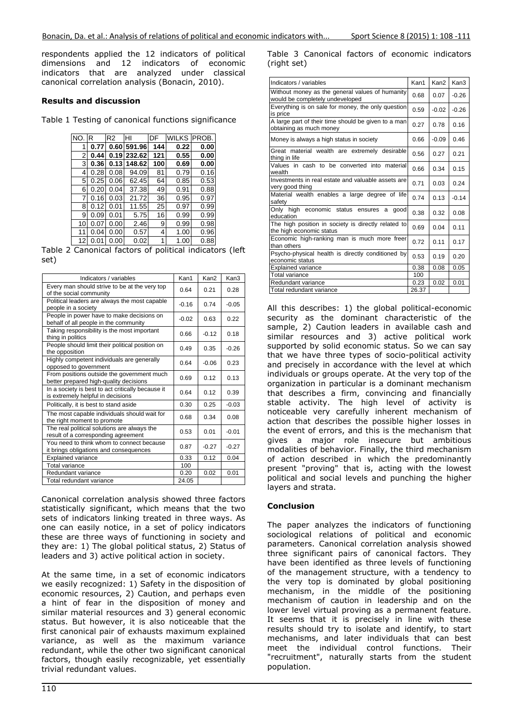respondents applied the 12 indicators of political dimensions and 12 indicators of economic indicators that are analyzed under classical canonical correlation analysis (Bonacin, 2010).

#### **Results and discussion**

Table 1 Testing of canonical functions significance

| NO. | R    | R2   | HI     | DF  | <b>WILKS</b> | PROB. |
|-----|------|------|--------|-----|--------------|-------|
| 1   | 0.77 | 0.60 | 591.96 | 144 | 0.22         | 0.00  |
| 2   | 0.44 | 0.19 | 232.62 | 121 | 0.55         | 0.00  |
| 3   | 0.36 | 0.13 | 148.62 | 100 | 0.69         | 0.00  |
| 4   | 0.28 | 0.08 | 94.09  | 81  | 0.79         | 0.16  |
| 5   | 0.25 | 0.06 | 62.45  | 64  | 0.85         | 0.53  |
| 6   | 0.20 | 0.04 | 37.38  | 49  | 0.91         | 0.88  |
| 7   | 0.16 | 0.03 | 21.72  | 36  | 0.95         | 0.97  |
| 8   | 0.12 | 0.01 | 11.55  | 25  | 0.97         | 0.99  |
| 9   | 0.09 | 0.01 | 5.75   | 16  | 0.99         | 0.99  |
| 10  | 0.07 | 0.00 | 2.46   | 9   | 0.99         | 0.98  |
| 11  | 0.04 | 0.00 | 0.57   | 4   | 1.00         | 0.96  |
| 12  | 0.01 | 0.00 | 0.02   | 1   | 1.00         | 0.88  |

Table 2 Canonical factors of political indicators (left set)

| Indicators / variables                                                                 | Kan1    | Kan <sub>2</sub> | Kan3    |
|----------------------------------------------------------------------------------------|---------|------------------|---------|
| Every man should strive to be at the very top<br>of the social community               | 0.64    | 0.21             | 0.28    |
| Political leaders are always the most capable<br>people in a society                   | $-0.16$ | 0.74             | $-0.05$ |
| People in power have to make decisions on<br>behalf of all people in the community     | $-0.02$ | 0.63             | 0.22    |
| Taking responsibility is the most important<br>thing in politics                       | 0.66    | $-0.12$          | 0.18    |
| People should limit their political position on<br>the opposition                      | 0.49    | 0.35             | $-0.26$ |
| Highly competent individuals are generally<br>opposed to government                    | 0.64    | $-0.06$          | 0.23    |
| From positions outside the government much<br>better prepared high-quality decisions   | 0.69    | 0.12             | 0.13    |
| In a society is best to act critically because it<br>is extremely helpful in decisions | 0.64    | 0.12             | 0.39    |
| Politically, it is best to stand aside                                                 | 0.30    | 0.25             | $-0.03$ |
| The most capable individuals should wait for<br>the right moment to promote            | 0.68    | 0.34             | 0.08    |
| The real political solutions are always the<br>result of a corresponding agreement     | 0.53    | 0.01             | $-0.01$ |
| You need to think whom to connect because<br>it brings obligations and consequences    | 0.87    | $-0.27$          | $-0.27$ |
| <b>Explained variance</b>                                                              | 0.33    | 0.12             | 0.04    |
| Total variance                                                                         | 100     |                  |         |
| Redundant variance                                                                     | 0.20    | 0.02             | 0.01    |
| Total redundant variance                                                               | 24.05   |                  |         |

Canonical correlation analysis showed three factors statistically significant, which means that the two sets of indicators linking treated in three ways. As one can easily notice, in a set of policy indicators these are three ways of functioning in society and they are: 1) The global political status, 2) Status of leaders and 3) active political action in society.

At the same time, in a set of economic indicators we easily recognized: 1) Safety in the disposition of economic resources, 2) Caution, and perhaps even a hint of fear in the disposition of money and similar material resources and 3) general economic status. But however, it is also noticeable that the first canonical pair of exhausts maximum explained variance, as well as the maximum variance redundant, while the other two significant canonical factors, though easily recognizable, yet essentially trivial redundant values.

 $110$ 

Table 3 Canonical factors of economic indicators (right set)

| Indicators / variables                                                             | Kan1  | Kan <sub>2</sub> | Kan3    |
|------------------------------------------------------------------------------------|-------|------------------|---------|
| Without money as the general values of humanity<br>would be completely undeveloped | 0.68  | 0.07             | $-0.26$ |
| Everything is on sale for money, the only question<br>is price                     | 0.59  | $-0.02$          | $-0.26$ |
| A large part of their time should be given to a man<br>obtaining as much money     | 0.27  | 0.78             | 0.16    |
| Money is always a high status in society                                           | 0.66  | $-0.09$          | 0.46    |
| Great material wealth are extremely desirable<br>thing in life                     | 0.56  | 0.27             | 0.21    |
| Values in cash to be converted into material<br>wealth                             | 0.66  | 0.34             | 0.15    |
| Investments in real estate and valuable assets are<br>very good thing              | 0.71  | 0.03             | 0.24    |
| Material wealth enables a large degree of life<br>safety                           | 0.74  | 0.13             | $-0.14$ |
| Only high economic status ensures<br>good<br>a<br>education                        | 0.38  | 0.32             | 0.08    |
| The high position in society is directly related to<br>the high economic status    | 0.69  | 0.04             | 0.11    |
| Economic high-ranking man is much more freer<br>than others                        | 0.72  | 0.11             | 0.17    |
| Psycho-physical health is directly conditioned by<br>economic status               | 0.53  | 0.19             | 0.20    |
| Explained variance                                                                 | 0.38  | 0.08             | 0.05    |
| Total variance                                                                     | 100   |                  |         |
| Redundant variance                                                                 | 0.23  | 0.02             | 0.01    |
| Total redundant variance                                                           | 26.37 |                  |         |

All this describes: 1) the global political-economic security as the dominant characteristic of the sample, 2) Caution leaders in available cash and similar resources and 3) active political work supported by solid economic status. So we can say that we have three types of socio-political activity and precisely in accordance with the level at which individuals or groups operate. At the very top of the organization in particular is a dominant mechanism that describes a firm, convincing and financially stable activity. The high level of activity is noticeable very carefully inherent mechanism of action that describes the possible higher losses in the event of errors, and this is the mechanism that gives a major role insecure but ambitious modalities of behavior. Finally, the third mechanism of action described in which the predominantly present "proving" that is, acting with the lowest political and social levels and punching the higher layers and strata.

## **Conclusion**

The paper analyzes the indicators of functioning sociological relations of political and economic parameters. Canonical correlation analysis showed three significant pairs of canonical factors. They have been identified as three levels of functioning of the management structure, with a tendency to the very top is dominated by global positioning mechanism, in the middle of the positioning mechanism of caution in leadership and on the lower level virtual proving as a permanent feature. It seems that it is precisely in line with these results should try to isolate and identify, to start mechanisms, and later individuals that can best meet the individual control functions. Their "recruitment", naturally starts from the student population.